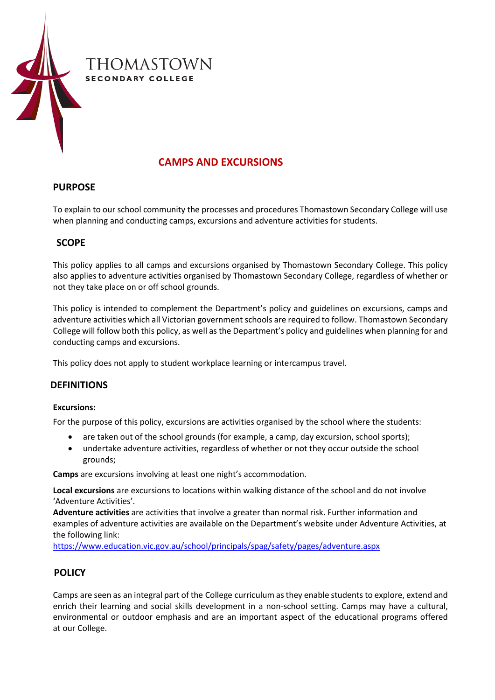

# **CAMPS AND EXCURSIONS**

### **PURPOSE**

To explain to our school community the processes and procedures Thomastown Secondary College will use when planning and conducting camps, excursions and adventure activities for students.

### **SCOPE**

This policy applies to all camps and excursions organised by Thomastown Secondary College. This policy also applies to adventure activities organised by Thomastown Secondary College, regardless of whether or not they take place on or off school grounds.

This policy is intended to complement the Department's policy and guidelines on excursions, camps and adventure activities which all Victorian government schools are required to follow. Thomastown Secondary College will follow both this policy, as well as the Department's policy and guidelines when planning for and conducting camps and excursions.

This policy does not apply to student workplace learning or intercampus travel.

### **DEFINITIONS**

### **Excursions:**

For the purpose of this policy, excursions are activities organised by the school where the students:

- are taken out of the school grounds (for example, a camp, day excursion, school sports);
- undertake adventure activities, regardless of whether or not they occur outside the school grounds;

**Camps** are excursions involving at least one night's accommodation.

**Local excursions** are excursions to locations within walking distance of the school and do not involve 'Adventure Activities'.

**Adventure activities** are activities that involve a greater than normal risk. Further information and examples of adventure activities are available on the Department's website under Adventure Activities, at the following link:

<https://www.education.vic.gov.au/school/principals/spag/safety/pages/adventure.aspx>

### **POLICY**

Camps are seen as an integral part of the College curriculum as they enable students to explore, extend and enrich their learning and social skills development in a non-school setting. Camps may have a cultural, environmental or outdoor emphasis and are an important aspect of the educational programs offered at our College.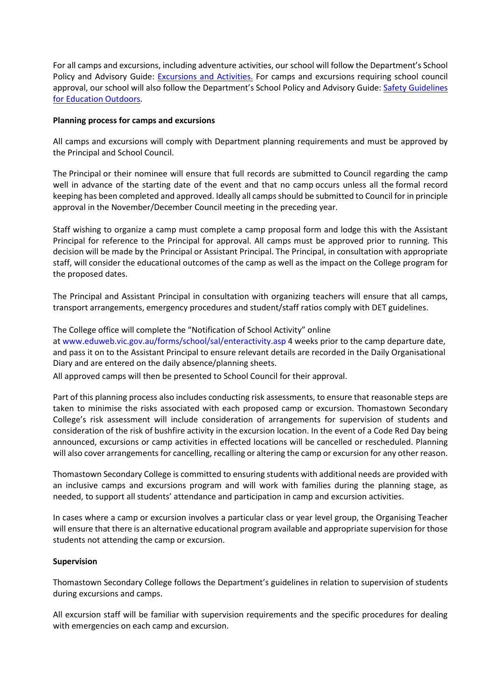For all camps and excursions, including adventure activities, our school will follow the Department's School Policy and Advisory Guide: [Excursions and Activities.](http://www.education.vic.gov.au/school/principals/spag/safety/pages/excursions.aspx) For camps and excursions requiring school council approval, our school will also follow the Department's School Policy and Advisory Guide: [Safety Guidelines](https://www.education.vic.gov.au/school/teachers/studentmanagement/excursions/Pages/outdoorguidelines.aspx)  [for Education Outdoors.](https://www.education.vic.gov.au/school/teachers/studentmanagement/excursions/Pages/outdoorguidelines.aspx)

### **Planning process for camps and excursions**

All camps and excursions will comply with Department planning requirements and must be approved by the Principal and School Council.

The Principal or their nominee will ensure that full records are submitted to Council regarding the camp well in advance of the starting date of the event and that no camp occurs unless all the formal record keeping has been completed and approved. Ideally all camps should be submitted to Council for in principle approval in the November/December Council meeting in the preceding year.

Staff wishing to organize a camp must complete a camp proposal form and lodge this with the Assistant Principal for reference to the Principal for approval. All camps must be approved prior to running. This decision will be made by the Principal or Assistant Principal. The Principal, in consultation with appropriate staff, will consider the educational outcomes of the camp as well as the impact on the College program for the proposed dates.

The Principal and Assistant Principal in consultation with organizing teachers will ensure that all camps, transport arrangements, emergency procedures and student/staff ratios comply with DET guidelines.

### The College office will complete the "Notification of School Activity" online

at [www.eduweb.vic.gov.au/forms/school/sal/enteractivity.asp](http://www.eduweb.vic.gov.au/forms/school/sal/enteractivity.asp) 4 weeks prior to the camp departure date, and pass it on to the Assistant Principal to ensure relevant details are recorded in the Daily Organisational Diary and are entered on the daily absence/planning sheets.

All approved camps will then be presented to School Council for their approval.

Part of this planning process also includes conducting risk assessments, to ensure that reasonable steps are taken to minimise the risks associated with each proposed camp or excursion. Thomastown Secondary College's risk assessment will include consideration of arrangements for supervision of students and consideration of the risk of bushfire activity in the excursion location. In the event of a Code Red Day being announced, excursions or camp activities in effected locations will be cancelled or rescheduled. Planning will also cover arrangements for cancelling, recalling or altering the camp or excursion for any other reason.

Thomastown Secondary College is committed to ensuring students with additional needs are provided with an inclusive camps and excursions program and will work with families during the planning stage, as needed, to support all students' attendance and participation in camp and excursion activities.

In cases where a camp or excursion involves a particular class or year level group, the Organising Teacher will ensure that there is an alternative educational program available and appropriate supervision for those students not attending the camp or excursion.

### **Supervision**

Thomastown Secondary College follows the Department's guidelines in relation to supervision of students during excursions and camps.

All excursion staff will be familiar with supervision requirements and the specific procedures for dealing with emergencies on each camp and excursion.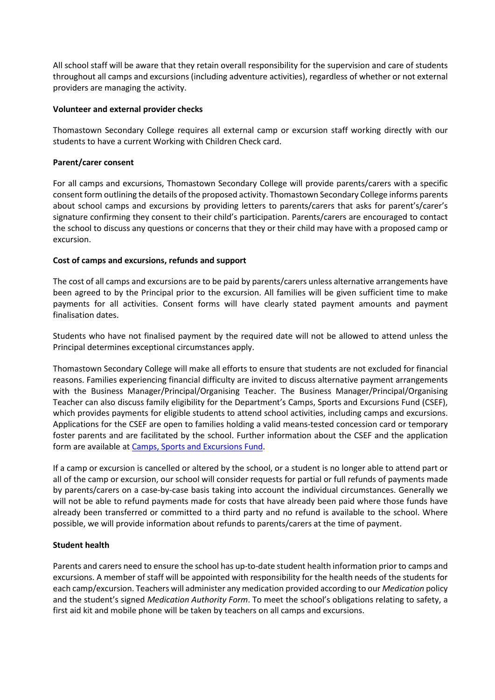All school staff will be aware that they retain overall responsibility for the supervision and care of students throughout all camps and excursions (including adventure activities), regardless of whether or not external providers are managing the activity.

### **Volunteer and external provider checks**

Thomastown Secondary College requires all external camp or excursion staff working directly with our students to have a current Working with Children Check card.

### **Parent/carer consent**

For all camps and excursions, Thomastown Secondary College will provide parents/carers with a specific consent form outlining the details of the proposed activity. Thomastown Secondary College informs parents about school camps and excursions by providing letters to parents/carers that asks for parent's/carer's signature confirming they consent to their child's participation. Parents/carers are encouraged to contact the school to discuss any questions or concerns that they or their child may have with a proposed camp or excursion.

### **Cost of camps and excursions, refunds and support**

The cost of all camps and excursions are to be paid by parents/carers unless alternative arrangements have been agreed to by the Principal prior to the excursion. All families will be given sufficient time to make payments for all activities. Consent forms will have clearly stated payment amounts and payment finalisation dates.

Students who have not finalised payment by the required date will not be allowed to attend unless the Principal determines exceptional circumstances apply.

Thomastown Secondary College will make all efforts to ensure that students are not excluded for financial reasons. Families experiencing financial difficulty are invited to discuss alternative payment arrangements with the Business Manager/Principal/Organising Teacher. The Business Manager/Principal/Organising Teacher can also discuss family eligibility for the Department's Camps, Sports and Excursions Fund (CSEF), which provides payments for eligible students to attend school activities, including camps and excursions. Applications for the CSEF are open to families holding a valid means-tested concession card or temporary foster parents and are facilitated by the school. Further information about the CSEF and the application form are available a[t Camps, Sports and Excursions Fund.](http://www.education.vic.gov.au/about/programs/Pages/csef.aspx)

If a camp or excursion is cancelled or altered by the school, or a student is no longer able to attend part or all of the camp or excursion, our school will consider requests for partial or full refunds of payments made by parents/carers on a case-by-case basis taking into account the individual circumstances. Generally we will not be able to refund payments made for costs that have already been paid where those funds have already been transferred or committed to a third party and no refund is available to the school. Where possible, we will provide information about refunds to parents/carers at the time of payment.

### **Student health**

Parents and carers need to ensure the school has up-to-date student health information prior to camps and excursions. A member of staff will be appointed with responsibility for the health needs of the students for each camp/excursion. Teachers will administer any medication provided according to our *Medication* policy and the student's signed *Medication Authority Form*. To meet the school's obligations relating to safety, a first aid kit and mobile phone will be taken by teachers on all camps and excursions.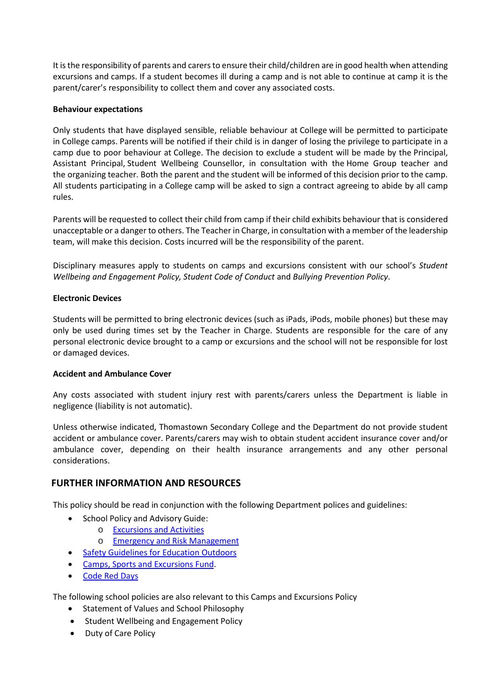It is the responsibility of parents and carers to ensure their child/children are in good health when attending excursions and camps. If a student becomes ill during a camp and is not able to continue at camp it is the parent/carer's responsibility to collect them and cover any associated costs.

### **Behaviour expectations**

Only students that have displayed sensible, reliable behaviour at College will be permitted to participate in College camps. Parents will be notified if their child is in danger of losing the privilege to participate in a camp due to poor behaviour at College. The decision to exclude a student will be made by the Principal, Assistant Principal, Student Wellbeing Counsellor, in consultation with the Home Group teacher and the organizing teacher. Both the parent and the student will be informed of this decision prior to the camp. All students participating in a College camp will be asked to sign a contract agreeing to abide by all camp rules.

Parents will be requested to collect their child from camp if their child exhibits behaviour that is considered unacceptable or a danger to others. The Teacher in Charge, in consultation with a member of the leadership team, will make this decision. Costs incurred will be the responsibility of the parent.

Disciplinary measures apply to students on camps and excursions consistent with our school's *Student Wellbeing and Engagement Policy, Student Code of Conduct* and *Bullying Prevention Policy*.

### **Electronic Devices**

Students will be permitted to bring electronic devices (such as iPads, iPods, mobile phones) but these may only be used during times set by the Teacher in Charge. Students are responsible for the care of any personal electronic device brought to a camp or excursions and the school will not be responsible for lost or damaged devices.

### **Accident and Ambulance Cover**

Any costs associated with student injury rest with parents/carers unless the Department is liable in negligence (liability is not automatic).

Unless otherwise indicated, Thomastown Secondary College and the Department do not provide student accident or ambulance cover. Parents/carers may wish to obtain student accident insurance cover and/or ambulance cover, depending on their health insurance arrangements and any other personal considerations.

### **FURTHER INFORMATION AND RESOURCES**

This policy should be read in conjunction with the following Department polices and guidelines:

- School Policy and Advisory Guide:
	- o [Excursions and Activities](http://www.education.vic.gov.au/school/principals/spag/safety/Pages/excursions.aspx)
	- o [Emergency and Risk Management](http://www.education.vic.gov.au/school/principals/spag/safety/Pages/excursionsafety.aspx)
	- [Safety Guidelines for Education Outdoors](https://www.education.vic.gov.au/school/teachers/studentmanagement/excursions/Pages/outdoorguidelines.aspx)
- [Camps, Sports and Excursions Fund.](http://www.education.vic.gov.au/about/programs/Pages/csef.aspx)
- [Code Red Days](https://www.education.vic.gov.au/about/programs/health/Pages/coderedabout.aspx)

The following school policies are also relevant to this Camps and Excursions Policy

- Statement of Values and School Philosophy
- Student Wellbeing and Engagement Policy
- Duty of Care Policy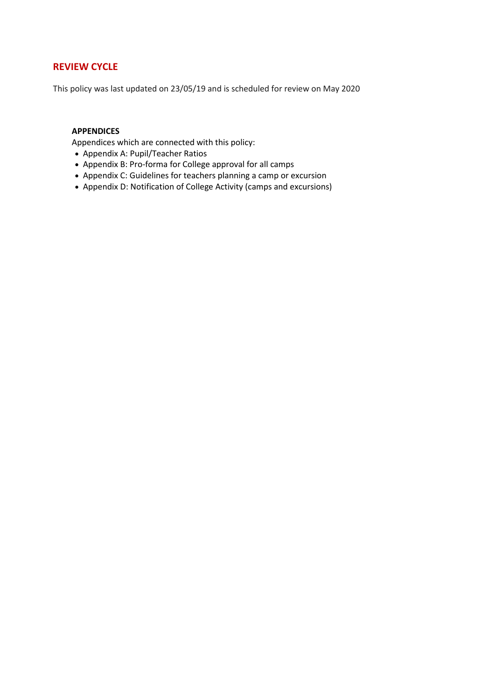### **REVIEW CYCLE**

This policy was last updated on 23/05/19 and is scheduled for review on May 2020

### **APPENDICES**

Appendices which are connected with this policy:

- Appendix A: Pupil/Teacher Ratios
- Appendix B: Pro-forma for College approval for all camps
- Appendix C: Guidelines for teachers planning a camp or excursion
- Appendix D: Notification of College Activity (camps and excursions)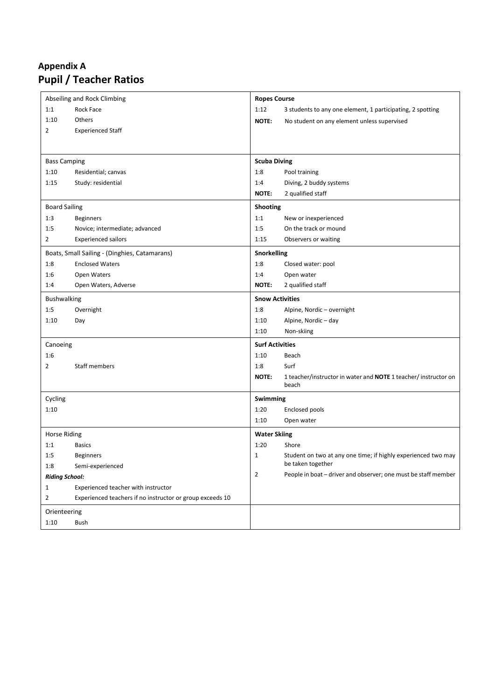# **Appendix A Pupil / Teacher Ratios**

| Abseiling and Rock Climbing |                                                           |                        | <b>Ropes Course</b>                                                    |  |  |  |
|-----------------------------|-----------------------------------------------------------|------------------------|------------------------------------------------------------------------|--|--|--|
| 1:1                         | Rock Face                                                 | 1:12                   | 3 students to any one element, 1 participating, 2 spotting             |  |  |  |
| 1:10                        | Others                                                    | NOTE:                  | No student on any element unless supervised                            |  |  |  |
| 2                           | <b>Experienced Staff</b>                                  |                        |                                                                        |  |  |  |
|                             |                                                           |                        |                                                                        |  |  |  |
|                             |                                                           |                        |                                                                        |  |  |  |
| <b>Bass Camping</b>         |                                                           | <b>Scuba Diving</b>    |                                                                        |  |  |  |
| 1:10                        | Residential; canvas                                       | 1:8                    | Pool training                                                          |  |  |  |
| 1:15                        | Study: residential                                        | 1:4                    | Diving, 2 buddy systems                                                |  |  |  |
|                             |                                                           | NOTE:                  | 2 qualified staff                                                      |  |  |  |
| <b>Board Sailing</b>        |                                                           | Shooting               |                                                                        |  |  |  |
| 1:3                         | <b>Beginners</b>                                          | 1:1                    | New or inexperienced                                                   |  |  |  |
| 1:5                         | Novice; intermediate; advanced                            | 1:5                    | On the track or mound                                                  |  |  |  |
| $\overline{2}$              | <b>Experienced sailors</b>                                | 1:15                   | Observers or waiting                                                   |  |  |  |
|                             | Boats, Small Sailing - (Dinghies, Catamarans)             | Snorkelling            |                                                                        |  |  |  |
| 1:8                         | <b>Enclosed Waters</b>                                    | 1:8                    | Closed water: pool                                                     |  |  |  |
| 1:6                         | Open Waters                                               | 1:4                    | Open water                                                             |  |  |  |
| 1:4                         | Open Waters, Adverse                                      | <b>NOTE:</b>           | 2 qualified staff                                                      |  |  |  |
| <b>Bushwalking</b>          |                                                           | <b>Snow Activities</b> |                                                                        |  |  |  |
| 1:5                         | Overnight                                                 | 1:8                    | Alpine, Nordic - overnight                                             |  |  |  |
| 1:10                        | Day                                                       | 1:10                   | Alpine, Nordic - day                                                   |  |  |  |
|                             |                                                           | 1:10                   | Non-skiing                                                             |  |  |  |
| Canoeing                    |                                                           | <b>Surf Activities</b> |                                                                        |  |  |  |
| 1:6                         |                                                           | 1:10                   | Beach                                                                  |  |  |  |
| $\overline{2}$              | <b>Staff members</b>                                      | 1:8                    | Surf                                                                   |  |  |  |
|                             |                                                           | <b>NOTE:</b>           | 1 teacher/instructor in water and <b>NOTE</b> 1 teacher/ instructor on |  |  |  |
|                             |                                                           |                        | beach                                                                  |  |  |  |
| Cycling                     |                                                           | Swimming               |                                                                        |  |  |  |
| 1:10                        |                                                           | 1:20                   | Enclosed pools                                                         |  |  |  |
|                             |                                                           | 1:10                   | Open water                                                             |  |  |  |
| <b>Horse Riding</b>         |                                                           | <b>Water Skiing</b>    |                                                                        |  |  |  |
| 1:1                         | <b>Basics</b>                                             | 1:20                   | Shore                                                                  |  |  |  |
| 1:5                         | <b>Beginners</b>                                          | 1                      | Student on two at any one time; if highly experienced two may          |  |  |  |
| 1:8                         | Semi-experienced                                          |                        | be taken together                                                      |  |  |  |
| <b>Riding School:</b>       |                                                           | $\overline{2}$         | People in boat - driver and observer; one must be staff member         |  |  |  |
| 1                           | Experienced teacher with instructor                       |                        |                                                                        |  |  |  |
| $\overline{2}$              | Experienced teachers if no instructor or group exceeds 10 |                        |                                                                        |  |  |  |
| Orienteering                |                                                           |                        |                                                                        |  |  |  |
| 1:10                        | Bush                                                      |                        |                                                                        |  |  |  |
|                             |                                                           |                        |                                                                        |  |  |  |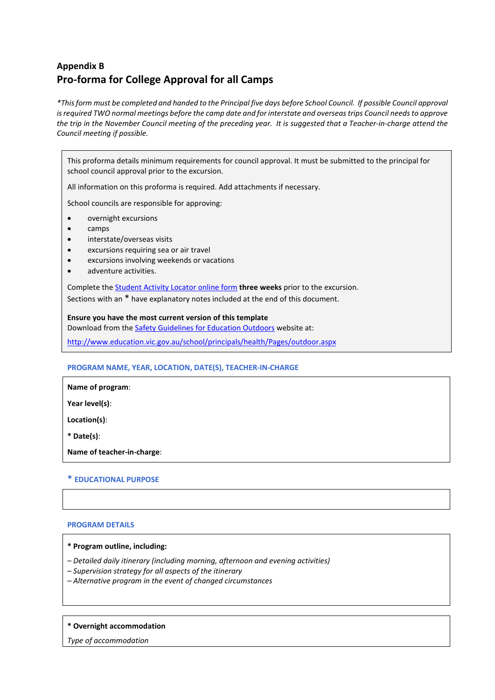# **Appendix B Pro-forma for College Approval for all Camps**

*\*This form must be completed and handed to the Principal five days before School Council. If possible Council approval is required TWO normal meetings before the camp date and for interstate and overseas trips Council needs to approve the trip in the November Council meeting of the preceding year. It is suggested that a Teacher-in-charge attend the Council meeting if possible.*

This proforma details minimum requirements for council approval. It must be submitted to the principal for school council approval prior to the excursion.

All information on this proforma is required. Add attachments if necessary.

School councils are responsible for approving:

- overnight excursions
- camps
- interstate/overseas visits
- excursions requiring sea or air travel
- excursions involving weekends or vacations
- adventure activities.

Complete th[e Student Activity Locator online form](https://www.eduweb.vic.gov.au/forms/school/sal/Default.asp) **three weeks** prior to the excursion.

Sections with an \* have explanatory notes included at the end of this document.

**Ensure you have the most current version of this template**

Download from th[e Safety Guidelines for Education Outdoors](http://www.education.vic.gov.au/school/principals/health/Pages/outdoor.aspx) website at:

<http://www.education.vic.gov.au/school/principals/health/Pages/outdoor.aspx>

#### **PROGRAM NAME, YEAR, LOCATION, DATE(S), TEACHER-IN-CHARGE**

**Name of program**:

**Year level(s)**:

**Location(s)**:

**\* Date(s)**:

**Name of teacher-in-charge**:

#### **\* EDUCATIONAL PURPOSE**

#### **PROGRAM DETAILS**

#### **\* Program outline, including:**

- *– Detailed daily itinerary (including morning, afternoon and evening activities)*
- *– Supervision strategy for all aspects of the itinerary*
- *– Alternative program in the event of changed circumstances*

#### **\* Overnight accommodation**

*Type of accommodation*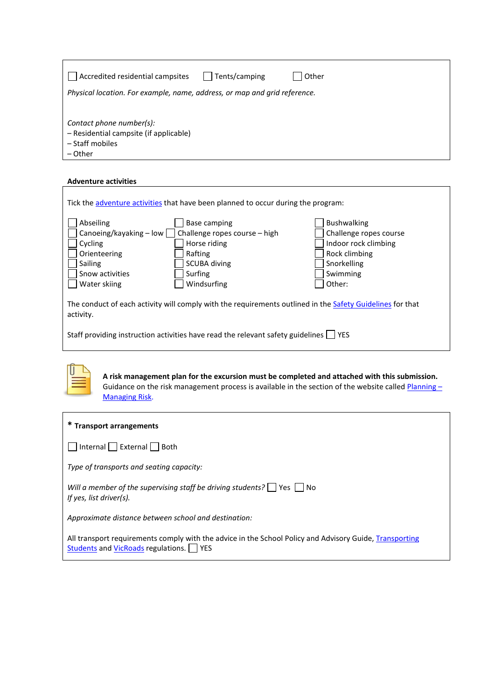| Accredited residential campsites                                          | Tents/camping | Other |  |  |
|---------------------------------------------------------------------------|---------------|-------|--|--|
| Physical location. For example, name, address, or map and grid reference. |               |       |  |  |
|                                                                           |               |       |  |  |
| Contact phone number(s):                                                  |               |       |  |  |
| - Residential campsite (if applicable)                                    |               |       |  |  |
| - Staff mobiles                                                           |               |       |  |  |
| – Other                                                                   |               |       |  |  |

# **Adventure activities**

| Tick the adventure activities that have been planned to occur during the program:                                      |                                                                                                                           |                                                                                                                            |  |  |  |
|------------------------------------------------------------------------------------------------------------------------|---------------------------------------------------------------------------------------------------------------------------|----------------------------------------------------------------------------------------------------------------------------|--|--|--|
| Abseiling<br>Canoeing/kayaking $-$ low<br>Cycling<br>Orienteering<br>Sailing<br>Snow activities<br>Water skiing        | Base camping<br>Challenge ropes course - high<br>Horse riding<br>Rafting<br><b>SCUBA diving</b><br>Surfing<br>Windsurfing | <b>Bushwalking</b><br>Challenge ropes course<br>Indoor rock climbing<br>Rock climbing<br>Snorkelling<br>Swimming<br>Other: |  |  |  |
| The conduct of each activity will comply with the requirements outlined in the Safety Guidelines for that<br>activity. |                                                                                                                           |                                                                                                                            |  |  |  |
| Staff providing instruction activities have read the relevant safety guidelines     YES                                |                                                                                                                           |                                                                                                                            |  |  |  |



**A risk management plan for the excursion must be completed and attached with this submission.**  Guidance on the risk management process is available in the section of the website called  $Planning -$ [Managing Risk.](http://www.education.vic.gov.au/school/principals/health/Pages/outdoorrisk.aspx)

| * Transport arrangements                                                                                                                              |
|-------------------------------------------------------------------------------------------------------------------------------------------------------|
| Internal External Both                                                                                                                                |
| Type of transports and seating capacity:                                                                                                              |
| Will a member of the supervising staff be driving students? $\Box$ Yes $\Box$ No<br>If yes, list driver(s).                                           |
| Approximate distance between school and destination:                                                                                                  |
| All transport requirements comply with the advice in the School Policy and Advisory Guide, Transporting<br>Students and VicRoads regulations.     YES |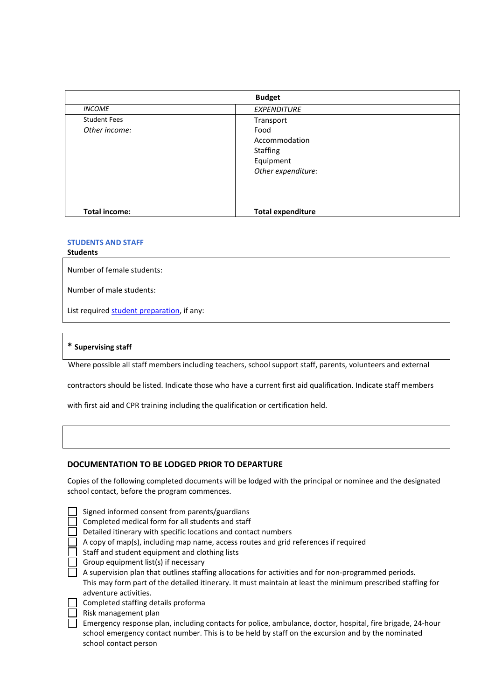|                      | <b>Budget</b>                                                               |  |
|----------------------|-----------------------------------------------------------------------------|--|
| <b>INCOME</b>        | <b>EXPENDITURE</b>                                                          |  |
| <b>Student Fees</b>  | Transport                                                                   |  |
| Other income:        | Food<br>Accommodation<br><b>Staffing</b><br>Equipment<br>Other expenditure: |  |
| <b>Total income:</b> | <b>Total expenditure</b>                                                    |  |

#### **STUDENTS AND STAFF**

### **Students**

Number of female students:

Number of male students:

List required [student preparation,](http://www.education.vic.gov.au/school/principals/health/Pages/outdoorresprepare.aspx) if any:

### **\* Supervising staff**

Where possible all staff members including teachers, school support staff, parents, volunteers and external

contractors should be listed. Indicate those who have a current first aid qualification. Indicate staff members

with first aid and CPR training including the qualification or certification held.

#### **DOCUMENTATION TO BE LODGED PRIOR TO DEPARTURE**

Copies of the following completed documents will be lodged with the principal or nominee and the designated school contact, before the program commences.

|  |  | $\Box$ Signed informed consent from par |  |  |  |
|--|--|-----------------------------------------|--|--|--|
|--|--|-----------------------------------------|--|--|--|

- rents/guardians Completed medical form for all students and staff
- Detailed itinerary with specific locations and contact numbers
- $\Box$  A copy of map(s), including map name, access routes and grid references if required
- Staff and student equipment and clothing lists
- Group equipment list(s) if necessary

A supervision plan that outlines staffing allocations for activities and for non-programmed periods. This may form part of the detailed itinerary. It must maintain at least the minimum prescribed staffing for adventure activities.

Completed staffing details proforma

Risk management plan

Emergency response plan, including contacts for police, ambulance, doctor, hospital, fire brigade, 24-hour school emergency contact number. This is to be held by staff on the excursion and by the nominated school contact person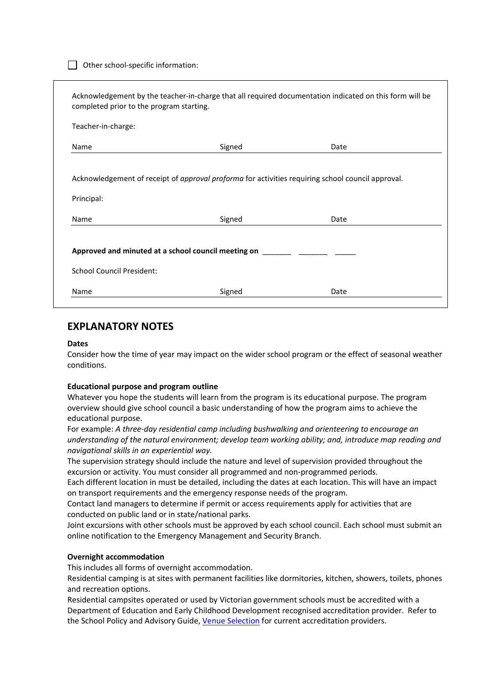**CORDITE:** Other school-specific information:

| Acknowledgement by the teacher-in-charge that all required documentation indicated on this form will be<br>completed prior to the program starting. |                                                                                                   |      |  |  |  |
|-----------------------------------------------------------------------------------------------------------------------------------------------------|---------------------------------------------------------------------------------------------------|------|--|--|--|
| Teacher-in-charge:                                                                                                                                  |                                                                                                   |      |  |  |  |
| Name                                                                                                                                                | Signed                                                                                            | Date |  |  |  |
|                                                                                                                                                     | Acknowledgement of receipt of approval proforma for activities requiring school council approval. |      |  |  |  |
| Principal:                                                                                                                                          |                                                                                                   |      |  |  |  |
| Name                                                                                                                                                | Signed                                                                                            | Date |  |  |  |
|                                                                                                                                                     |                                                                                                   |      |  |  |  |
|                                                                                                                                                     | Approved and minuted at a school council meeting on _____________________________                 |      |  |  |  |
| <b>School Council President:</b>                                                                                                                    |                                                                                                   |      |  |  |  |

### **EXPLANATORY NOTES**

#### **Dates**

Consider how the time of year may impact on the wider school program or the effect of seasonal weather conditions.

#### **Educational purpose and program outline**

Whatever you hope the students will learn from the program is its educational purpose. The program overview should give school council a basic understanding of how the program aims to achieve the educational purpose.

For example: *A three-day residential camp including bushwalking and orienteering to encourage an understanding of the natural environment; develop team working ability; and, introduce map reading and navigational skills in an experiential way.* 

The supervision strategy should include the nature and level of supervision provided throughout the excursion or activity. You must consider all programmed and non-programmed periods.

Each different location in must be detailed, including the dates at each location. This will have an impact on transport requirements and the emergency response needs of the program.

Contact land managers to determine if permit or access requirements apply for activities that are conducted on public land or in state/national parks.

Joint excursions with other schools must be approved by each school council. Each school must submit an online notification to the Emergency Management and Security Branch.

#### **Overnight accommodation**

This includes all forms of overnight accommodation.

Residential camping is at sites with permanent facilities like dormitories, kitchen, showers, toilets, phones and recreation options.

Residential campsites operated or used by Victorian government schools must be accredited with a Department of Education and Early Childhood Development recognised accreditation provider. Refer to the School Policy and Advisory Guide[, Venue Selection](http://www.education.vic.gov.au/school/principals/spag/safety/Pages/venue.aspx) for current accreditation providers.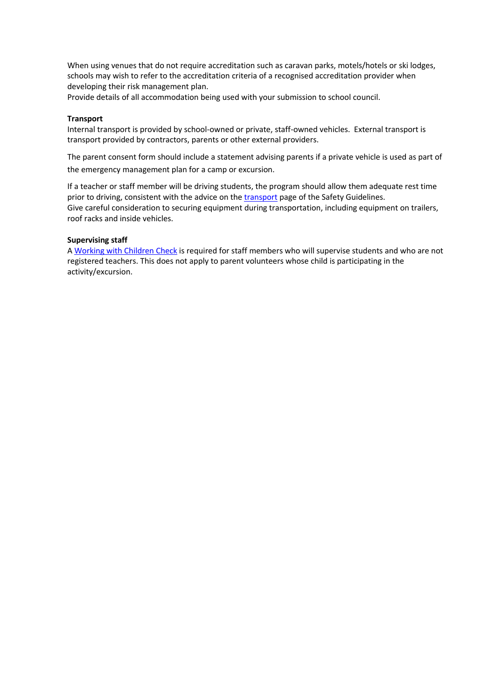When using venues that do not require accreditation such as caravan parks, motels/hotels or ski lodges, schools may wish to refer to the accreditation criteria of a recognised accreditation provider when developing their risk management plan.

Provide details of all accommodation being used with your submission to school council.

#### **Transport**

Internal transport is provided by school-owned or private, staff-owned vehicles. External transport is transport provided by contractors, parents or other external providers.

The parent consent form should include a statement advising parents if a private vehicle is used as part of the emergency management plan for a camp or excursion.

If a teacher or staff member will be driving students, the program should allow them adequate rest time prior to driving, consistent with the advice on th[e transport](http://www.education.vic.gov.au/school/principals/health/Pages/outdoorrestransport.aspx) page of the Safety Guidelines. Give careful consideration to securing equipment during transportation, including equipment on trailers, roof racks and inside vehicles.

### **Supervising staff**

[A Working with Children Check](http://www.justice.vic.gov.au/workingwithchildren) is required for staff members who will supervise students and who are not registered teachers. This does not apply to parent volunteers whose child is participating in the activity/excursion.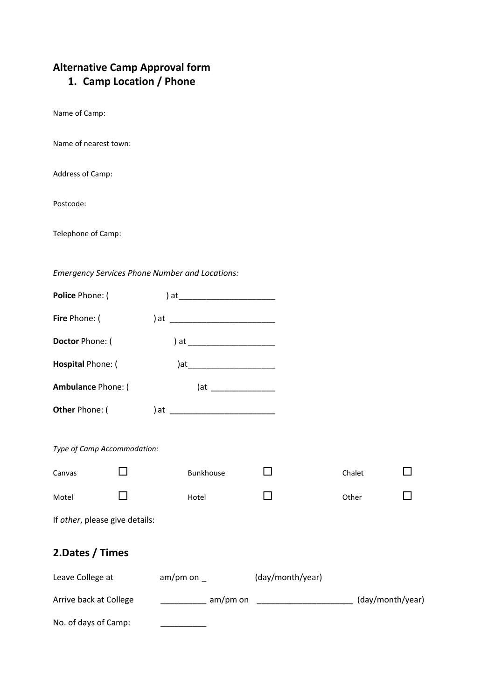# **Alternative Camp Approval form 1. Camp Location / Phone**

Name of Camp:

Name of nearest town:

Address of Camp:

Postcode:

Telephone of Camp:

### *Emergency Services Phone Number and Locations:*

| Police Phone: (                |                                                                 |                       |        |  |
|--------------------------------|-----------------------------------------------------------------|-----------------------|--------|--|
| <b>Fire</b> Phone: (           |                                                                 |                       |        |  |
| Doctor Phone: (                |                                                                 |                       |        |  |
| Hospital Phone: (              |                                                                 |                       |        |  |
| Ambulance Phone: (             |                                                                 | )at _________________ |        |  |
|                                |                                                                 |                       |        |  |
|                                |                                                                 |                       |        |  |
| Type of Camp Accommodation:    |                                                                 |                       |        |  |
| Canvas                         | Bunkhouse                                                       |                       | Chalet |  |
| Motel                          | Hotel                                                           | $\mathsf{L}$          | Other  |  |
| If other, please give details: |                                                                 |                       |        |  |
| 2.Dates / Times                |                                                                 |                       |        |  |
| Leave College at               |                                                                 |                       |        |  |
| Arrive back at College         | ____________ am/pm on ________________________ (day/month/year) |                       |        |  |

No. of days of Camp: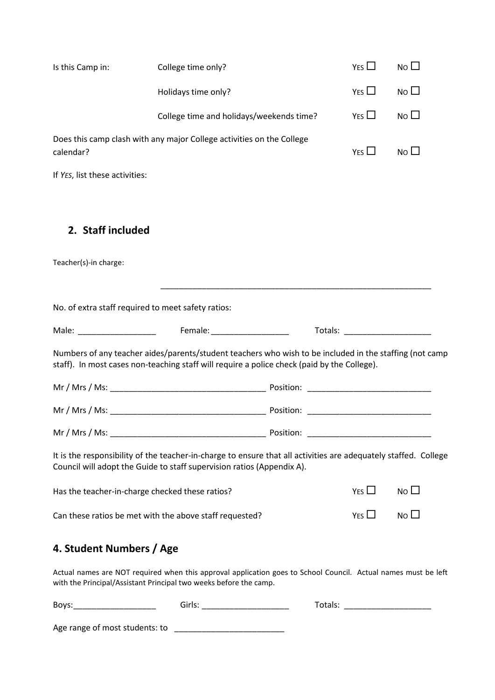| Is this Camp in:               | College time only?                                                                                                                                                                                     | YES        | $No$ $\Box$                      |  |
|--------------------------------|--------------------------------------------------------------------------------------------------------------------------------------------------------------------------------------------------------|------------|----------------------------------|--|
|                                | Holidays time only?                                                                                                                                                                                    | YES $\Box$ | $N$ o $\square$                  |  |
|                                | College time and holidays/weekends time?                                                                                                                                                               | YES $\Box$ | $N$ o $\square$                  |  |
| calendar?                      | Does this camp clash with any major College activities on the College                                                                                                                                  | YES $\Box$ | $N$ <sup><math>\Box</math></sup> |  |
| If YES, list these activities: |                                                                                                                                                                                                        |            |                                  |  |
| 2. Staff included              |                                                                                                                                                                                                        |            |                                  |  |
| Teacher(s)-in charge:          |                                                                                                                                                                                                        |            |                                  |  |
|                                | No. of extra staff required to meet safety ratios:                                                                                                                                                     |            |                                  |  |
|                                |                                                                                                                                                                                                        |            | Totals: _______________________  |  |
|                                | Numbers of any teacher aides/parents/student teachers who wish to be included in the staffing (not camp<br>staff). In most cases non-teaching staff will require a police check (paid by the College). |            |                                  |  |
|                                |                                                                                                                                                                                                        |            |                                  |  |
|                                |                                                                                                                                                                                                        |            |                                  |  |
|                                |                                                                                                                                                                                                        |            |                                  |  |
|                                | It is the responsibility of the teacher-in-charge to ensure that all activities are adequately staffed. College<br>Council will adopt the Guide to staff supervision ratios (Appendix A).              |            |                                  |  |
|                                | Has the teacher-in-charge checked these ratios?                                                                                                                                                        | YES $\Box$ | No <sub>1</sub>                  |  |
|                                | Can these ratios be met with the above staff requested?                                                                                                                                                | YES $\Box$ | $N$ o $\Box$                     |  |
|                                |                                                                                                                                                                                                        |            |                                  |  |

# **4. Student Numbers / Age**

Actual names are NOT required when this approval application goes to School Council. Actual names must be left with the Principal/Assistant Principal two weeks before the camp.

| Boys:                          | Girls: | Totals: |
|--------------------------------|--------|---------|
| Age range of most students: to |        |         |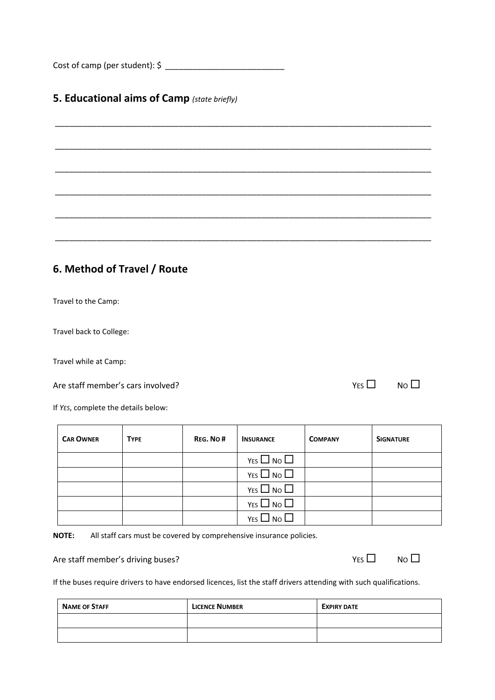$Cost of camp (per student): $ \_ \_ \_ \_ \_ \_ \_ \_ \_ \_ \_ \_ \_$ 

# **5. Educational aims of Camp** *(state briefly)*

\_\_\_\_\_\_\_\_\_\_\_\_\_\_\_\_\_\_\_\_\_\_\_\_\_\_\_\_\_\_\_\_\_\_\_\_\_\_\_\_\_\_\_\_\_\_\_\_\_\_\_\_\_\_\_\_\_\_\_\_\_\_\_\_\_\_\_\_\_\_\_\_\_\_\_\_\_\_\_\_\_\_

# **6. Method of Travel / Route**

Travel to the Camp:

Travel back to College:

Travel while at Camp:

Are staff member's cars involved?  $YES \Box$  No  $\Box$ 

If *YES*, complete the details below:

| <b>CAR OWNER</b> | <b>TYPE</b> | REG. NO# | <b>INSURANCE</b>       | <b>COMPANY</b> | <b>SIGNATURE</b> |
|------------------|-------------|----------|------------------------|----------------|------------------|
|                  |             |          | $YES$ $\Box$ No $\Box$ |                |                  |
|                  |             |          | $YES$ $\Box$ No $\Box$ |                |                  |
|                  |             |          | $YES \Box NO \Box$     |                |                  |
|                  |             |          | $YES$ $\Box$ No $\Box$ |                |                  |
|                  |             |          | YES $\Box$ No $\Box$   |                |                  |

**NOTE:** All staff cars must be covered by comprehensive insurance policies.

Are staff member's driving buses?  $VES \Box$  No  $\Box$ 

|  | N٥ |  |
|--|----|--|
|  |    |  |

If the buses require drivers to have endorsed licences, list the staff drivers attending with such qualifications.

| <b>NAME OF STAFF</b> | <b>LICENCE NUMBER</b> | <b>EXPIRY DATE</b> |
|----------------------|-----------------------|--------------------|
|                      |                       |                    |
|                      |                       |                    |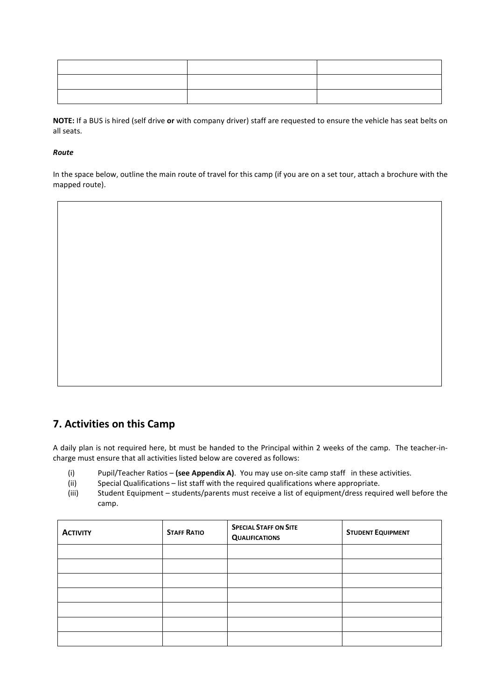**NOTE:** If a BUS is hired (self drive **or** with company driver) staff are requested to ensure the vehicle has seat belts on all seats.

### *Route*

In the space below, outline the main route of travel for this camp (if you are on a set tour, attach a brochure with the mapped route).



A daily plan is not required here, bt must be handed to the Principal within 2 weeks of the camp. The teacher-incharge must ensure that all activities listed below are covered as follows:

- (i) Pupil/Teacher Ratios **(see Appendix A)**. You may use on-site camp staff in these activities.
- (ii) Special Qualifications list staff with the required qualifications where appropriate.
- (iii) Student Equipment students/parents must receive a list of equipment/dress required well before the camp.

| <b>ACTIVITY</b> | <b>STAFF RATIO</b> | <b>SPECIAL STAFF ON SITE</b><br><b>QUALIFICATIONS</b> | <b>STUDENT EQUIPMENT</b> |
|-----------------|--------------------|-------------------------------------------------------|--------------------------|
|                 |                    |                                                       |                          |
|                 |                    |                                                       |                          |
|                 |                    |                                                       |                          |
|                 |                    |                                                       |                          |
|                 |                    |                                                       |                          |
|                 |                    |                                                       |                          |
|                 |                    |                                                       |                          |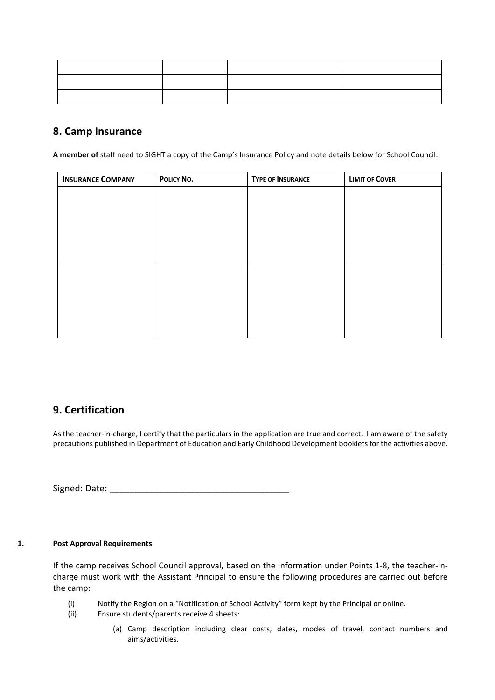### **8. Camp Insurance**

**A member of** staff need to SIGHT a copy of the Camp's Insurance Policy and note details below for School Council.

| <b>INSURANCE COMPANY</b> | POLICY NO. | <b>TYPE OF INSURANCE</b> | <b>LIMIT OF COVER</b> |
|--------------------------|------------|--------------------------|-----------------------|
|                          |            |                          |                       |
|                          |            |                          |                       |
|                          |            |                          |                       |
|                          |            |                          |                       |
|                          |            |                          |                       |
|                          |            |                          |                       |
|                          |            |                          |                       |
|                          |            |                          |                       |
|                          |            |                          |                       |
|                          |            |                          |                       |

### **9. Certification**

As the teacher-in-charge, I certify that the particulars in the application are true and correct. I am aware of the safety precautions published in Department of Education and Early Childhood Development booklets for the activities above.

Signed: Date: \_\_\_\_\_\_\_\_\_\_\_\_\_\_\_\_\_\_\_\_\_\_\_\_\_\_\_\_\_\_\_\_\_\_\_\_

#### **1. Post Approval Requirements**

If the camp receives School Council approval, based on the information under Points 1-8, the teacher-incharge must work with the Assistant Principal to ensure the following procedures are carried out before the camp:

- (i) Notify the Region on a "Notification of School Activity" form kept by the Principal or online.
- (ii) Ensure students/parents receive 4 sheets:
	- (a) Camp description including clear costs, dates, modes of travel, contact numbers and aims/activities.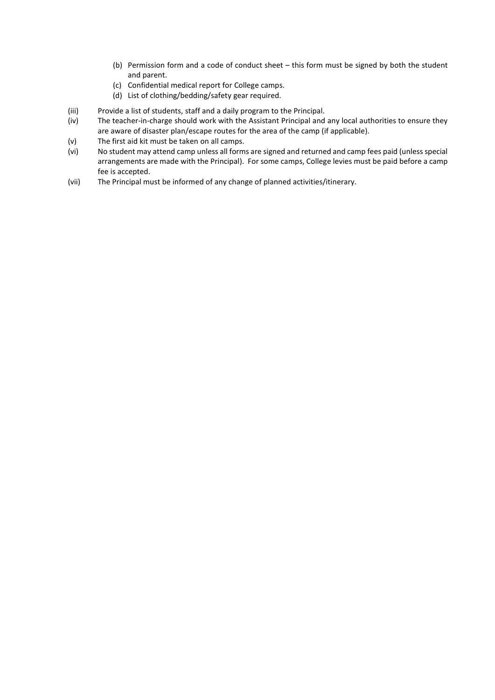- (b) Permission form and a code of conduct sheet this form must be signed by both the student and parent.
- (c) Confidential medical report for College camps.
- (d) List of clothing/bedding/safety gear required.
- (iii) Provide a list of students, staff and a daily program to the Principal.
- (iv) The teacher-in-charge should work with the Assistant Principal and any local authorities to ensure they are aware of disaster plan/escape routes for the area of the camp (if applicable).
- (v) The first aid kit must be taken on all camps.
- (vi) No student may attend camp unless all forms are signed and returned and camp fees paid (unless special arrangements are made with the Principal). For some camps, College levies must be paid before a camp fee is accepted.
- (vii) The Principal must be informed of any change of planned activities/itinerary.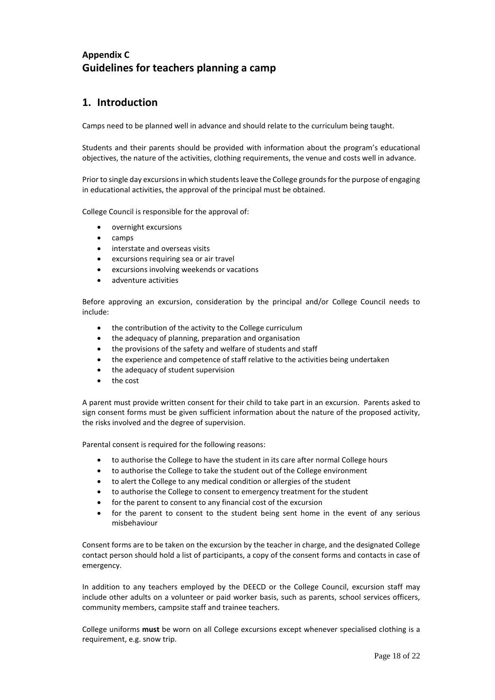# **Appendix C Guidelines for teachers planning a camp**

### **1. Introduction**

Camps need to be planned well in advance and should relate to the curriculum being taught.

Students and their parents should be provided with information about the program's educational objectives, the nature of the activities, clothing requirements, the venue and costs well in advance.

Prior to single day excursions in which students leave the College grounds for the purpose of engaging in educational activities, the approval of the principal must be obtained.

College Council is responsible for the approval of:

- overnight excursions
- camps
- interstate and overseas visits
- excursions requiring sea or air travel
- excursions involving weekends or vacations
- adventure activities

Before approving an excursion, consideration by the principal and/or College Council needs to include:

- the contribution of the activity to the College curriculum
- the adequacy of planning, preparation and organisation
- the provisions of the safety and welfare of students and staff
- the experience and competence of staff relative to the activities being undertaken
- the adequacy of student supervision
- the cost

A parent must provide written consent for their child to take part in an excursion. Parents asked to sign consent forms must be given sufficient information about the nature of the proposed activity, the risks involved and the degree of supervision.

Parental consent is required for the following reasons:

- to authorise the College to have the student in its care after normal College hours
- to authorise the College to take the student out of the College environment
- to alert the College to any medical condition or allergies of the student
- to authorise the College to consent to emergency treatment for the student
- for the parent to consent to any financial cost of the excursion
- for the parent to consent to the student being sent home in the event of any serious misbehaviour

Consent forms are to be taken on the excursion by the teacher in charge, and the designated College contact person should hold a list of participants, a copy of the consent forms and contacts in case of emergency.

In addition to any teachers employed by the DEECD or the College Council, excursion staff may include other adults on a volunteer or paid worker basis, such as parents, school services officers, community members, campsite staff and trainee teachers.

College uniforms **must** be worn on all College excursions except whenever specialised clothing is a requirement, e.g. snow trip.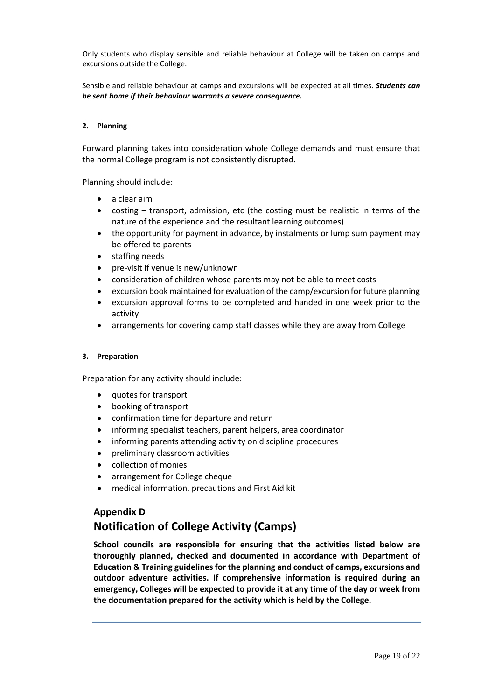Only students who display sensible and reliable behaviour at College will be taken on camps and excursions outside the College.

Sensible and reliable behaviour at camps and excursions will be expected at all times. *Students can be sent home if their behaviour warrants a severe consequence.*

#### **2. Planning**

Forward planning takes into consideration whole College demands and must ensure that the normal College program is not consistently disrupted.

Planning should include:

- a clear aim
- costing transport, admission, etc (the costing must be realistic in terms of the nature of the experience and the resultant learning outcomes)
- the opportunity for payment in advance, by instalments or lump sum payment may be offered to parents
- staffing needs
- pre-visit if venue is new/unknown
- consideration of children whose parents may not be able to meet costs
- excursion book maintained for evaluation of the camp/excursion for future planning
- excursion approval forms to be completed and handed in one week prior to the activity
- arrangements for covering camp staff classes while they are away from College

#### **3. Preparation**

Preparation for any activity should include:

- quotes for transport
- booking of transport
- confirmation time for departure and return
- informing specialist teachers, parent helpers, area coordinator
- informing parents attending activity on discipline procedures
- preliminary classroom activities
- collection of monies
- arrangement for College cheque
- medical information, precautions and First Aid kit

### **Appendix D**

# **Notification of College Activity (Camps)**

**School councils are responsible for ensuring that the activities listed below are thoroughly planned, checked and documented in accordance with Department of Education & Training guidelines for the planning and conduct of camps, excursions and outdoor adventure activities. If comprehensive information is required during an emergency, Colleges will be expected to provide it at any time of the day or week from the documentation prepared for the activity which is held by the College.**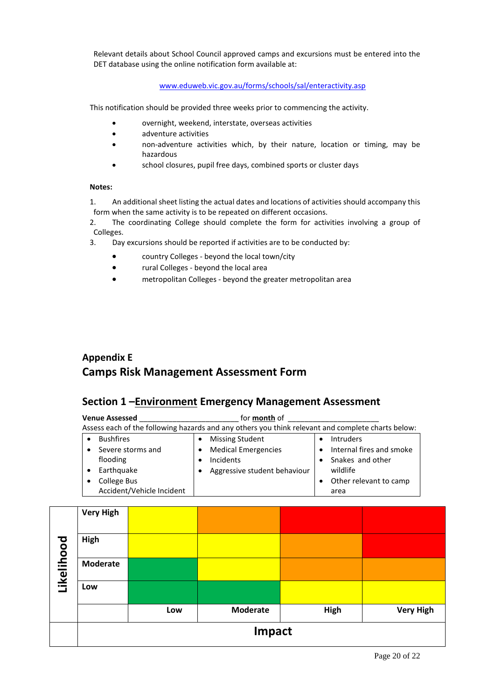Relevant details about School Council approved camps and excursions must be entered into the DET database using the online notification form available at:

#### [www.eduweb.vic.gov.au/forms/schools/sal/enteractivity.asp](http://www.eduweb.vic.gov.au/forms/schools/sal/enteractivity.asp)

This notification should be provided three weeks prior to commencing the activity.

- overnight, weekend, interstate, overseas activities
- adventure activities
- non-adventure activities which, by their nature, location or timing, may be hazardous
- school closures, pupil free days, combined sports or cluster days

### **Notes:**

1. An additional sheet listing the actual dates and locations of activities should accompany this form when the same activity is to be repeated on different occasions.

2. The coordinating College should complete the form for activities involving a group of Colleges.

- 3. Day excursions should be reported if activities are to be conducted by:
	- country Colleges beyond the local town/city
	- rural Colleges beyond the local area
	- metropolitan Colleges beyond the greater metropolitan area

# **Appendix E Camps Risk Management Assessment Form**

### **Section 1 –Environment Emergency Management Assessment**

**Venue Assessed** \_\_\_\_\_\_\_\_\_\_\_\_\_\_\_\_\_\_\_\_\_\_\_\_ for **month** of \_\_\_\_\_\_\_\_\_\_\_\_\_\_\_\_\_\_\_\_\_\_ Assess each of the following hazards and any others you think relevant and complete charts below:

| <b>Bushfires</b>          | <b>Missing Student</b>       | <b>Intruders</b>         |  |
|---------------------------|------------------------------|--------------------------|--|
| Severe storms and         | <b>Medical Emergencies</b>   | Internal fires and smoke |  |
| flooding                  | Incidents                    | Snakes and other         |  |
| Earthquake                | Aggressive student behaviour | wildlife                 |  |
| College Bus               |                              | Other relevant to camp   |  |
| Accident/Vehicle Incident |                              | area                     |  |

|            | <b>Very High</b> |     |                 |      |                  |
|------------|------------------|-----|-----------------|------|------------------|
|            | High             |     |                 |      |                  |
| Likelihood | Moderate         |     |                 |      |                  |
|            | Low              |     |                 |      |                  |
|            |                  | Low | <b>Moderate</b> | High | <b>Very High</b> |
|            | Impact           |     |                 |      |                  |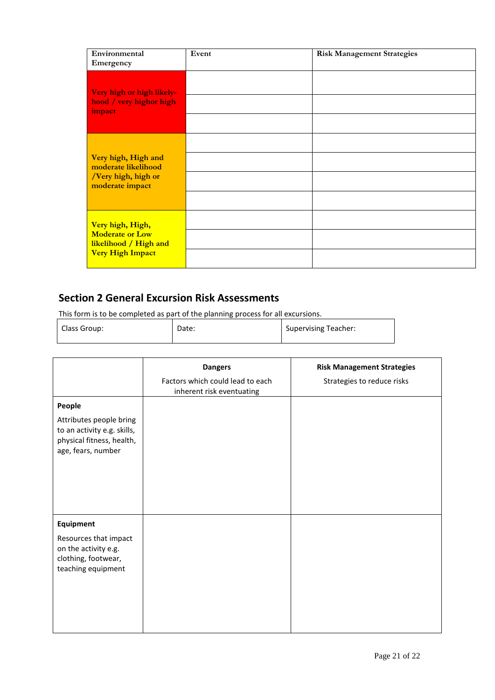| Environmental<br>Emergency                                                                     | Event | <b>Risk Management Strategies</b> |
|------------------------------------------------------------------------------------------------|-------|-----------------------------------|
| Very high or high likely-<br>hood / very highor high<br>impact                                 |       |                                   |
| Very high, High and<br>moderate likelihood<br>/Very high, high or<br>moderate impact           |       |                                   |
| Very high, High,<br><b>Moderate or Low</b><br>likelihood / High and<br><b>Very High Impact</b> |       |                                   |

### **Section 2 General Excursion Risk Assessments**

This form is to be completed as part of the planning process for all excursions.

| Supervising Teacher:<br>Class Group: |
|--------------------------------------|
|--------------------------------------|

|                                                                                                                     | <b>Dangers</b>                                                | <b>Risk Management Strategies</b> |
|---------------------------------------------------------------------------------------------------------------------|---------------------------------------------------------------|-----------------------------------|
|                                                                                                                     | Factors which could lead to each<br>inherent risk eventuating | Strategies to reduce risks        |
| People<br>Attributes people bring<br>to an activity e.g. skills,<br>physical fitness, health,<br>age, fears, number |                                                               |                                   |
| <b>Equipment</b><br>Resources that impact<br>on the activity e.g.<br>clothing, footwear,<br>teaching equipment      |                                                               |                                   |